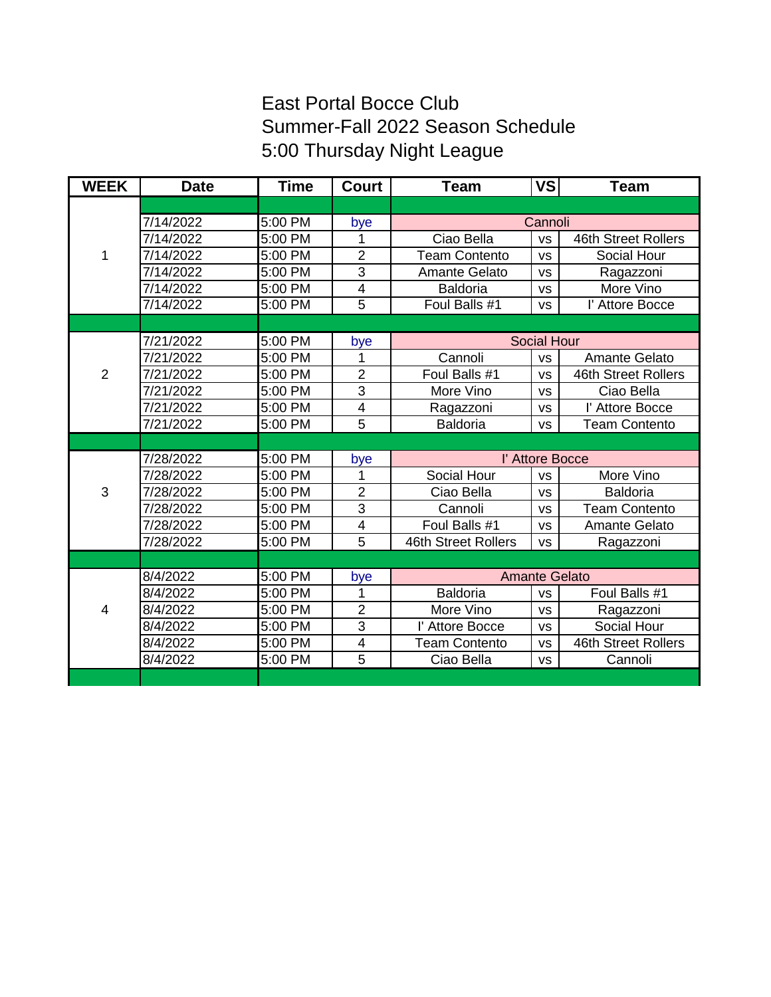## East Portal Bocce Club Summer-Fall 2022 Season Schedule 5:00 Thursday Night League

| <b>WEEK</b>    | <b>Date</b> | <b>Time</b> | <b>Court</b>            | <b>Team</b>          | <b>VS</b> | <b>Team</b>          |
|----------------|-------------|-------------|-------------------------|----------------------|-----------|----------------------|
|                |             |             |                         |                      |           |                      |
| 1              | 7/14/2022   | 5:00 PM     | bye                     | Cannoli              |           |                      |
|                | 7/14/2022   | 5:00 PM     | 1                       | Ciao Bella           | <b>VS</b> | 46th Street Rollers  |
|                | 7/14/2022   | 5:00 PM     | $\overline{2}$          | <b>Team Contento</b> | <b>VS</b> | Social Hour          |
|                | 7/14/2022   | 5:00 PM     | 3                       | <b>Amante Gelato</b> | <b>VS</b> | Ragazzoni            |
|                | 7/14/2022   | 5:00 PM     | $\overline{4}$          | <b>Baldoria</b>      | <b>VS</b> | More Vino            |
|                | 7/14/2022   | 5:00 PM     | $\overline{5}$          | Foul Balls #1        | <b>VS</b> | l' Attore Bocce      |
|                |             |             |                         |                      |           |                      |
|                | 7/21/2022   | 5:00 PM     | bye                     | <b>Social Hour</b>   |           |                      |
|                | 7/21/2022   | 5:00 PM     | 1                       | Cannoli              | <b>VS</b> | Amante Gelato        |
| $\overline{2}$ | 7/21/2022   | 5:00 PM     | $\overline{2}$          | Foul Balls #1        | <b>VS</b> | 46th Street Rollers  |
|                | 7/21/2022   | 5:00 PM     | 3                       | More Vino            | <b>VS</b> | Ciao Bella           |
|                | 7/21/2022   | 5:00 PM     | $\overline{\mathbf{4}}$ | Ragazzoni            | <b>VS</b> | l' Attore Bocce      |
|                | 7/21/2022   | 5:00 PM     | 5                       | <b>Baldoria</b>      | <b>VS</b> | <b>Team Contento</b> |
|                |             |             |                         |                      |           |                      |
|                | 7/28/2022   | 5:00 PM     | bye                     | l' Attore Bocce      |           |                      |
|                | 7/28/2022   | 5:00 PM     | 1                       | Social Hour          | <b>VS</b> | More Vino            |
| 3              | 7/28/2022   | 5:00 PM     | $\overline{2}$          | Ciao Bella           | <b>VS</b> | <b>Baldoria</b>      |
|                | 7/28/2022   | 5:00 PM     | 3                       | Cannoli              | <b>VS</b> | <b>Team Contento</b> |
|                | 7/28/2022   | 5:00 PM     | $\overline{\mathbf{4}}$ | Foul Balls #1        | <b>VS</b> | Amante Gelato        |
|                | 7/28/2022   | 5:00 PM     | 5                       | 46th Street Rollers  | <b>VS</b> | Ragazzoni            |
|                |             |             |                         |                      |           |                      |
|                | 8/4/2022    | 5:00 PM     | bye                     | <b>Amante Gelato</b> |           |                      |
|                | 8/4/2022    | 5:00 PM     | 1                       | <b>Baldoria</b>      | <b>VS</b> | Foul Balls #1        |
| $\overline{4}$ | 8/4/2022    | 5:00 PM     | $\overline{2}$          | More Vino            | <b>VS</b> | Ragazzoni            |
|                | 8/4/2022    | 5:00 PM     | 3                       | l' Attore Bocce      | <b>VS</b> | Social Hour          |
|                | 8/4/2022    | 5:00 PM     | $\overline{\mathbf{4}}$ | <b>Team Contento</b> | <b>VS</b> | 46th Street Rollers  |
|                | 8/4/2022    | 5:00 PM     | 5                       | Ciao Bella           | <b>VS</b> | Cannoli              |
|                |             |             |                         |                      |           |                      |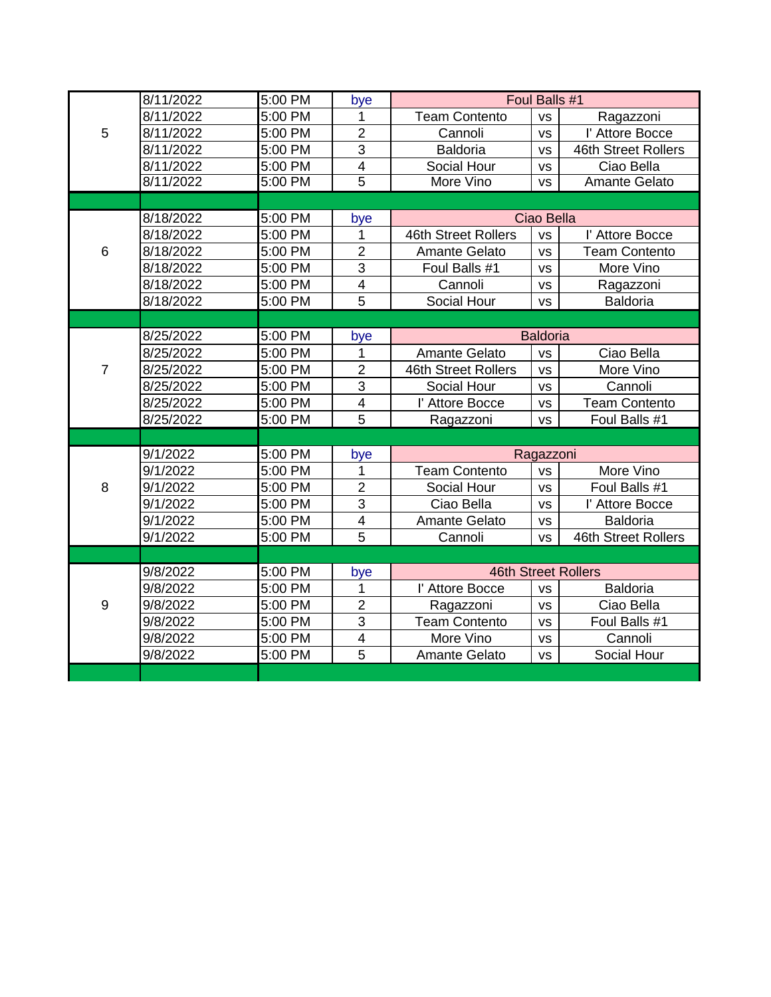|                | 8/11/2022 | 5:00 PM | bye                     | Foul Balls #1              |           |                      |
|----------------|-----------|---------|-------------------------|----------------------------|-----------|----------------------|
| 5              | 8/11/2022 | 5:00 PM | 1                       | <b>Team Contento</b>       | <b>VS</b> | Ragazzoni            |
|                | 8/11/2022 | 5:00 PM | $\overline{2}$          | Cannoli                    | <b>VS</b> | l' Attore Bocce      |
|                | 8/11/2022 | 5:00 PM | $\overline{3}$          | <b>Baldoria</b>            | <b>VS</b> | 46th Street Rollers  |
|                | 8/11/2022 | 5:00 PM | $\overline{\mathbf{4}}$ | Social Hour                | <b>VS</b> | Ciao Bella           |
|                | 8/11/2022 | 5:00 PM | $\overline{5}$          | More Vino                  | <b>VS</b> | Amante Gelato        |
|                |           |         |                         |                            |           |                      |
| 6              | 8/18/2022 | 5:00 PM | bye                     | Ciao Bella                 |           |                      |
|                | 8/18/2022 | 5:00 PM | 1                       | 46th Street Rollers        | <b>VS</b> | l' Attore Bocce      |
|                | 8/18/2022 | 5:00 PM | $\overline{2}$          | <b>Amante Gelato</b>       | <b>VS</b> | <b>Team Contento</b> |
|                | 8/18/2022 | 5:00 PM | $\overline{3}$          | Foul Balls #1              | <b>VS</b> | More Vino            |
|                | 8/18/2022 | 5:00 PM | $\overline{4}$          | Cannoli                    | <b>VS</b> | Ragazzoni            |
|                | 8/18/2022 | 5:00 PM | 5                       | Social Hour                | <b>VS</b> | <b>Baldoria</b>      |
|                |           |         |                         |                            |           |                      |
| $\overline{7}$ | 8/25/2022 | 5:00 PM | bye                     | <b>Baldoria</b>            |           |                      |
|                | 8/25/2022 | 5:00 PM | 1                       | Amante Gelato              | <b>VS</b> | Ciao Bella           |
|                | 8/25/2022 | 5:00 PM | $\overline{2}$          | 46th Street Rollers        | <b>VS</b> | More Vino            |
|                | 8/25/2022 | 5:00 PM | 3                       | Social Hour                | <b>VS</b> | Cannoli              |
|                | 8/25/2022 | 5:00 PM | 4                       | l' Attore Bocce            | <b>VS</b> | <b>Team Contento</b> |
|                | 8/25/2022 | 5:00 PM | $\overline{5}$          | Ragazzoni                  | <b>VS</b> | Foul Balls #1        |
|                |           |         |                         |                            |           |                      |
|                | 9/1/2022  | 5:00 PM | bye                     | Ragazzoni                  |           |                      |
| 8              | 9/1/2022  | 5:00 PM | 1                       | <b>Team Contento</b>       | <b>VS</b> | More Vino            |
|                | 9/1/2022  | 5:00 PM | $\overline{2}$          | Social Hour                | <b>VS</b> | Foul Balls #1        |
|                | 9/1/2022  | 5:00 PM | 3                       | Ciao Bella                 | <b>VS</b> | l' Attore Bocce      |
|                | 9/1/2022  | 5:00 PM | $\overline{4}$          | Amante Gelato              | <b>VS</b> | <b>Baldoria</b>      |
|                | 9/1/2022  | 5:00 PM | $\overline{5}$          | Cannoli                    | <b>VS</b> | 46th Street Rollers  |
|                |           |         |                         |                            |           |                      |
| 9              | 9/8/2022  | 5:00 PM | bye                     | <b>46th Street Rollers</b> |           |                      |
|                | 9/8/2022  | 5:00 PM | 1                       | l' Attore Bocce            | <b>VS</b> | <b>Baldoria</b>      |
|                | 9/8/2022  | 5:00 PM | $\overline{2}$          | Ragazzoni                  | <b>VS</b> | Ciao Bella           |
|                | 9/8/2022  | 5:00 PM | $\overline{3}$          | <b>Team Contento</b>       | <b>VS</b> | Foul Balls #1        |
|                | 9/8/2022  | 5:00 PM | 4                       | More Vino                  | <b>VS</b> | Cannoli              |
|                | 9/8/2022  | 5:00 PM | 5                       | Amante Gelato              | <b>VS</b> | Social Hour          |
|                |           |         |                         |                            |           |                      |